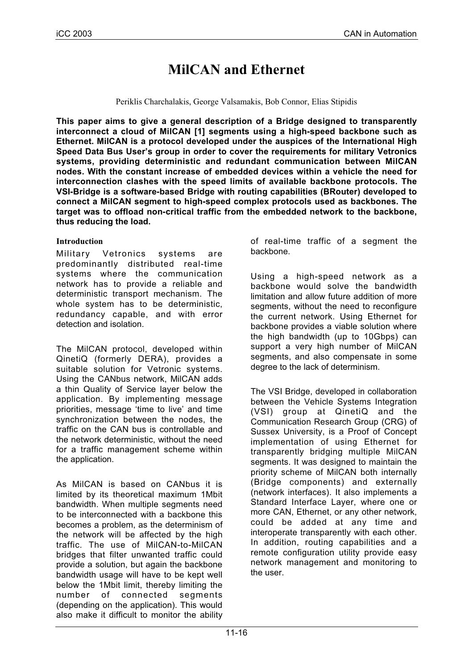# **MilCAN and Ethernet**

Periklis Charchalakis, George Valsamakis, Bob Connor, Elias Stipidis

**This paper aims to give a general description of a Bridge designed to transparently interconnect a cloud of MilCAN [1] segments using a high-speed backbone such as Ethernet. MilCAN is a protocol developed under the auspices of the International High Speed Data Bus User's group in order to cover the requirements for military Vetronics systems, providing deterministic and redundant communication between MilCAN nodes. With the constant increase of embedded devices within a vehicle the need for interconnection clashes with the speed limits of available backbone protocols. The VSI-Bridge is a software-based Bridge with routing capabilities (BRouter) developed to connect a MilCAN segment to high-speed complex protocols used as backbones. The target was to offload non-critical traffic from the embedded network to the backbone, thus reducing the load.**

## **Introduction**

Military Vetronics systems are predominantly distributed real-time systems where the communication network has to provide a reliable and deterministic transport mechanism. The whole system has to be deterministic, redundancy capable, and with error detection and isolation.

The MilCAN protocol, developed within QinetiQ (formerly DERA), provides a suitable solution for Vetronic systems. Using the CANbus network, MilCAN adds a thin Quality of Service layer below the application. By implementing message priorities, message 'time to live' and time synchronization between the nodes, the traffic on the CAN bus is controllable and the network deterministic, without the need for a traffic management scheme within the application.

As MilCAN is based on CANbus it is limited by its theoretical maximum 1Mbit bandwidth. When multiple segments need to be interconnected with a backbone this becomes a problem, as the determinism of the network will be affected by the high traffic. The use of MilCAN-to-MilCAN bridges that filter unwanted traffic could provide a solution, but again the backbone bandwidth usage will have to be kept well below the 1Mbit limit, thereby limiting the number of connected segments (depending on the application). This would also make it difficult to monitor the ability

of real-time traffic of a segment the backbone.

Using a high-speed network as a backbone would solve the bandwidth limitation and allow future addition of more segments, without the need to reconfigure the current network. Using Ethernet for backbone provides a viable solution where the high bandwidth (up to 10Gbps) can support a very high number of MilCAN segments, and also compensate in some degree to the lack of determinism.

The VSI Bridge, developed in collaboration between the Vehicle Systems Integration (VSI) group at QinetiQ and the Communication Research Group (CRG) of Sussex University, is a Proof of Concept implementation of using Ethernet for transparently bridging multiple MilCAN segments. It was designed to maintain the priority scheme of MilCAN both internally (Bridge components) and externally (network interfaces). It also implements a Standard Interface Layer, where one or more CAN, Ethernet, or any other network, could be added at any time and interoperate transparently with each other. In addition, routing capabilities and a remote configuration utility provide easy network management and monitoring to the user.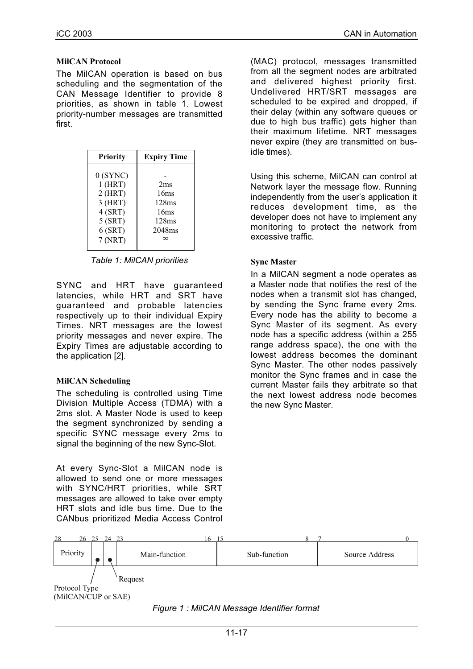## **MilCAN Protocol**

The MilCAN operation is based on bus scheduling and the segmentation of the CAN Message Identifier to provide 8 priorities, as shown in table 1. Lowest priority-number messages are transmitted first.

| <b>Expiry Time</b> |
|--------------------|
|                    |
| 2ms                |
| 16ms               |
| 128ms              |
| 16ms               |
| 128ms              |
| 2048ms             |
| ∞                  |
|                    |

*Table 1: MilCAN priorities*

SYNC and HRT have guaranteed latencies, while HRT and SRT have guaranteed and probable latencies respectively up to their individual Expiry Times. NRT messages are the lowest priority messages and never expire. The Expiry Times are adjustable according to the application [2].

# **MilCAN Scheduling**

The scheduling is controlled using Time Division Multiple Access (TDMA) with a 2ms slot. A Master Node is used to keep the segment synchronized by sending a specific SYNC message every 2ms to signal the beginning of the new Sync-Slot.

At every Sync-Slot a MilCAN node is allowed to send one or more messages with SYNC/HRT priorities, while SRT messages are allowed to take over empty HRT slots and idle bus time. Due to the CANbus prioritized Media Access Control (MAC) protocol, messages transmitted from all the segment nodes are arbitrated and delivered highest priority first. Undelivered HRT/SRT messages are scheduled to be expired and dropped, if their delay (within any software queues or due to high bus traffic) gets higher than their maximum lifetime. NRT messages never expire (they are transmitted on busidle times).

Using this scheme, MilCAN can control at Network layer the message flow. Running independently from the user's application it reduces development time, as the developer does not have to implement any monitoring to protect the network from excessive traffic.

# **Sync Master**

In a MilCAN segment a node operates as a Master node that notifies the rest of the nodes when a transmit slot has changed, by sending the Sync frame every 2ms. Every node has the ability to become a Sync Master of its segment. As every node has a specific address (within a 255 range address space), the one with the lowest address becomes the dominant Sync Master. The other nodes passively monitor the Sync frames and in case the current Master fails they arbitrate so that the next lowest address node becomes the new Sync Master.



#### *Figure 1 : MilCAN Message Identifier format*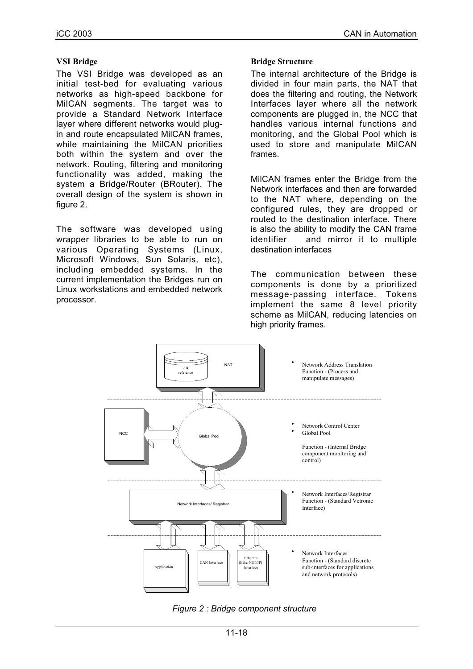## **VSI Bridge**

The VSI Bridge was developed as an initial test-bed for evaluating various networks as high-speed backbone for MilCAN segments. The target was to provide a Standard Network Interface layer where different networks would plugin and route encapsulated MilCAN frames, while maintaining the MilCAN priorities both within the system and over the network. Routing, filtering and monitoring functionality was added, making the system a Bridge/Router (BRouter). The overall design of the system is shown in figure 2.

The software was developed using wrapper libraries to be able to run on various Operating Systems (Linux, Microsoft Windows, Sun Solaris, etc), including embedded systems. In the current implementation the Bridges run on Linux workstations and embedded network processor.

## **Bridge Structure**

The internal architecture of the Bridge is divided in four main parts, the NAT that does the filtering and routing, the Network Interfaces layer where all the network components are plugged in, the NCC that handles various internal functions and monitoring, and the Global Pool which is used to store and manipulate MilCAN frames.

MilCAN frames enter the Bridge from the Network interfaces and then are forwarded to the NAT where, depending on the configured rules, they are dropped or routed to the destination interface. There is also the ability to modify the CAN frame identifier and mirror it to multiple destination interfaces

The communication between these components is done by a prioritized message-passing interface. Tokens implement the same 8 level priority scheme as MilCAN, reducing latencies on high priority frames.



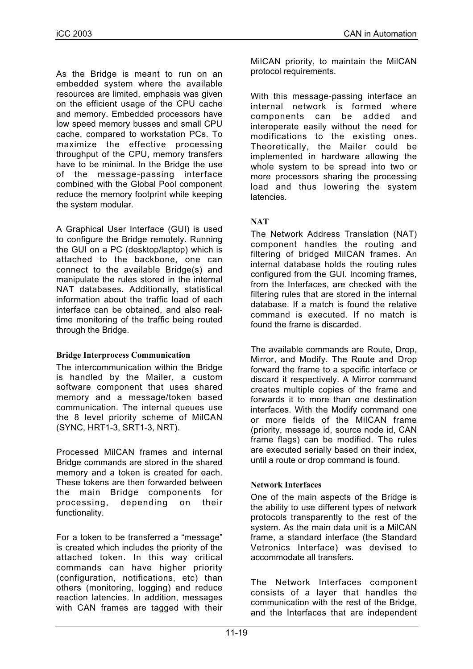As the Bridge is meant to run on an embedded system where the available resources are limited, emphasis was given on the efficient usage of the CPU cache and memory. Embedded processors have low speed memory busses and small CPU cache, compared to workstation PCs. To maximize the effective processing throughput of the CPU, memory transfers have to be minimal. In the Bridge the use of the message-passing interface combined with the Global Pool component reduce the memory footprint while keeping the system modular.

A Graphical User Interface (GUI) is used to configure the Bridge remotely. Running the GUI on a PC (desktop/laptop) which is attached to the backbone, one can connect to the available Bridge(s) and manipulate the rules stored in the internal NAT databases. Additionally, statistical information about the traffic load of each interface can be obtained, and also realtime monitoring of the traffic being routed through the Bridge.

#### **Bridge Interprocess Communication**

The intercommunication within the Bridge is handled by the Mailer, a custom software component that uses shared memory and a message/token based communication. The internal queues use the 8 level priority scheme of MilCAN (SYNC, HRT1-3, SRT1-3, NRT).

Processed MilCAN frames and internal Bridge commands are stored in the shared memory and a token is created for each. These tokens are then forwarded between the main Bridge components for processing, depending on their functionality.

For a token to be transferred a "message" is created which includes the priority of the attached token. In this way critical commands can have higher priority (configuration, notifications, etc) than others (monitoring, logging) and reduce reaction latencies. In addition, messages with CAN frames are tagged with their

MilCAN priority, to maintain the MilCAN protocol requirements.

With this message-passing interface an internal network is formed where components can be added and interoperate easily without the need for modifications to the existing ones. Theoretically, the Mailer could be implemented in hardware allowing the whole system to be spread into two or more processors sharing the processing load and thus lowering the system latencies.

# **NAT**

The Network Address Translation (NAT) component handles the routing and filtering of bridged MilCAN frames. An internal database holds the routing rules configured from the GUI. Incoming frames, from the Interfaces, are checked with the filtering rules that are stored in the internal database. If a match is found the relative command is executed. If no match is found the frame is discarded.

The available commands are Route, Drop, Mirror, and Modify. The Route and Drop forward the frame to a specific interface or discard it respectively. A Mirror command creates multiple copies of the frame and forwards it to more than one destination interfaces. With the Modify command one or more fields of the MilCAN frame (priority, message id, source node id, CAN frame flags) can be modified. The rules are executed serially based on their index, until a route or drop command is found.

# **Network Interfaces**

One of the main aspects of the Bridge is the ability to use different types of network protocols transparently to the rest of the system. As the main data unit is a MilCAN frame, a standard interface (the Standard Vetronics Interface) was devised to accommodate all transfers.

The Network Interfaces component consists of a layer that handles the communication with the rest of the Bridge, and the Interfaces that are independent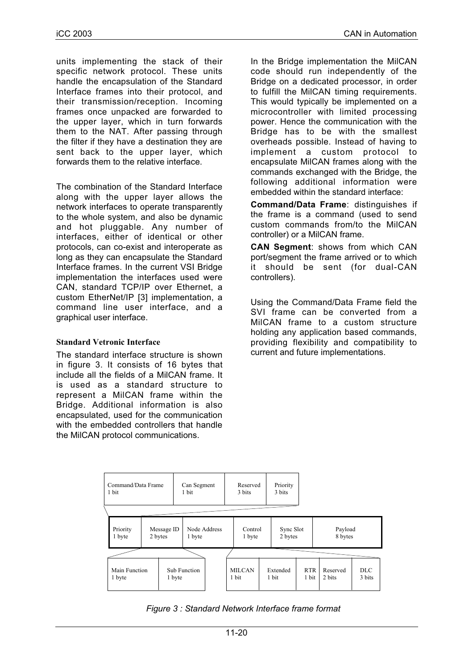units implementing the stack of their specific network protocol. These units handle the encapsulation of the Standard Interface frames into their protocol, and their transmission/reception. Incoming frames once unpacked are forwarded to the upper layer, which in turn forwards them to the NAT. After passing through the filter if they have a destination they are sent back to the upper layer, which forwards them to the relative interface.

The combination of the Standard Interface along with the upper layer allows the network interfaces to operate transparently to the whole system, and also be dynamic and hot pluggable. Any number of interfaces, either of identical or other protocols, can co-exist and interoperate as long as they can encapsulate the Standard Interface frames. In the current VSI Bridge implementation the interfaces used were CAN, standard TCP/IP over Ethernet, a custom EtherNet/IP [3] implementation, a command line user interface, and a graphical user interface.

# **Standard Vetronic Interface**

The standard interface structure is shown in figure 3. It consists of 16 bytes that include all the fields of a MilCAN frame. It is used as a standard structure to represent a MilCAN frame within the Bridge. Additional information is also encapsulated, used for the communication with the embedded controllers that handle the MilCAN protocol communications.

In the Bridge implementation the MilCAN code should run independently of the Bridge on a dedicated processor, in order to fulfill the MilCAN timing requirements. This would typically be implemented on a microcontroller with limited processing power. Hence the communication with the Bridge has to be with the smallest overheads possible. Instead of having to implement a custom protocol to encapsulate MilCAN frames along with the commands exchanged with the Bridge, the following additional information were embedded within the standard interface:

**Command/Data Frame**: distinguishes if the frame is a command (used to send custom commands from/to the MilCAN controller) or a MilCAN frame.

**CAN Segment**: shows from which CAN port/segment the frame arrived or to which it should be sent (for dual-CAN controllers).

Using the Command/Data Frame field the SVI frame can be converted from a MilCAN frame to a custom structure holding any application based commands, providing flexibility and compatibility to current and future implementations.



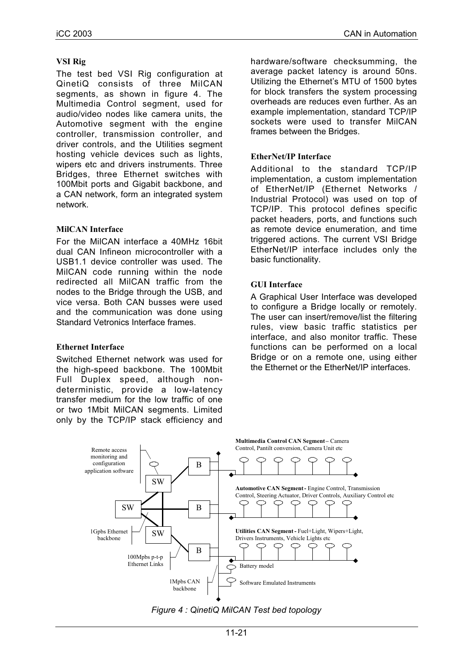## **VSI Rig**

The test bed VSI Rig configuration at QinetiQ consists of three MilCAN segments, as shown in figure 4. The Multimedia Control segment, used for audio/video nodes like camera units, the Automotive segment with the engine controller, transmission controller, and driver controls, and the Utilities segment hosting vehicle devices such as lights, wipers etc and drivers instruments. Three Bridges, three Ethernet switches with 100Mbit ports and Gigabit backbone, and a CAN network, form an integrated system network.

## **MilCAN Interface**

For the MilCAN interface a 40MHz 16bit dual CAN Infineon microcontroller with a USB1.1 device controller was used. The MilCAN code running within the node redirected all MilCAN traffic from the nodes to the Bridge through the USB, and vice versa. Both CAN busses were used and the communication was done using Standard Vetronics Interface frames.

#### **Ethernet Interface**

Switched Ethernet network was used for the high-speed backbone. The 100Mbit Full Duplex speed, although nondeterministic, provide a low-latency transfer medium for the low traffic of one or two 1Mbit MilCAN segments. Limited only by the TCP/IP stack efficiency and hardware/software checksumming, the average packet latency is around 50ns. Utilizing the Ethernet's MTU of 1500 bytes for block transfers the system processing overheads are reduces even further. As an example implementation, standard TCP/IP sockets were used to transfer MilCAN frames between the Bridges.

## **EtherNet/IP Interface**

Additional to the standard TCP/IP implementation, a custom implementation of EtherNet/IP (Ethernet Networks / Industrial Protocol) was used on top of TCP/IP. This protocol defines specific packet headers, ports, and functions such as remote device enumeration, and time triggered actions. The current VSI Bridge EtherNet/IP interface includes only the basic functionality.

## **GUI Interface**

A Graphical User Interface was developed to configure a Bridge locally or remotely. The user can insert/remove/list the filtering rules, view basic traffic statistics per interface, and also monitor traffic. These functions can be performed on a local Bridge or on a remote one, using either the Ethernet or the EtherNet/IP interfaces.



*Figure 4 : QinetiQ MilCAN Test bed topology*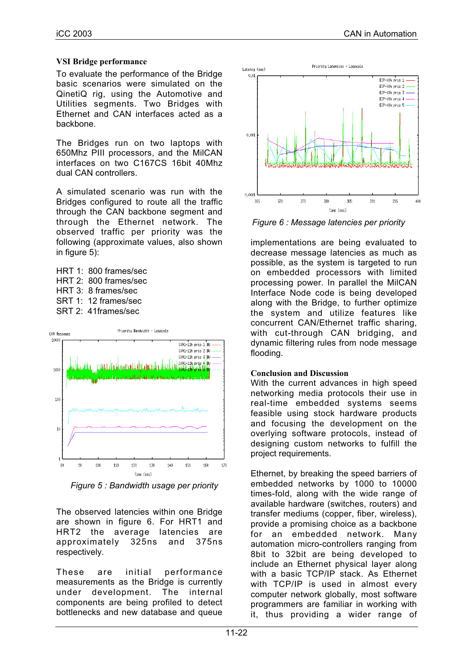#### **VSI Bridge performance**

To evaluate the performance of the Bridge basic scenarios were simulated on the QinetiQ rig, using the Automotive and Utilities segments. Two Bridges with Ethernet and CAN interfaces acted as a backbone.

The Bridges run on two laptops with 650Mhz PIII processors, and the MilCAN interfaces on two C167CS 16bit 40Mhz dual CAN controllers.

A simulated scenario was run with the Bridges configured to route all the traffic through the CAN backbone segment and through the Ethernet network. The observed traffic per priority was the following (approximate values, also shown in figure 5):

HRT 1: 800 frames/sec HRT 2: 800 frames/sec HRT 3: 8 frames/sec SRT 1: 12 frames/sec SRT 2: 41frames/sec



*Figure 5 : Bandwidth usage per priority*

The observed latencies within one Bridge are shown in figure 6. For HRT1 and HRT2 the average latencies are approximately 325ns and 375ns respectively.

These are initial performance measurements as the Bridge is currently under development. The internal components are being profiled to detect bottlenecks and new database and queue



*Figure 6 : Message latencies per priority*

implementations are being evaluated to decrease message latencies as much as possible, as the system is targeted to run on embedded processors with limited processing power. In parallel the MilCAN Interface Node code is being developed along with the Bridge, to further optimize the system and utilize features like concurrent CAN/Ethernet traffic sharing, with cut-through CAN bridging, and dynamic filtering rules from node message flooding.

# **Conclusion and Discussion**

With the current advances in high speed networking media protocols their use in real-time embedded systems seems feasible using stock hardware products and focusing the development on the overlying software protocols, instead of designing custom networks to fulfill the project requirements.

Ethernet, by breaking the speed barriers of embedded networks by 1000 to 10000 times-fold, along with the wide range of available hardware (switches, routers) and transfer mediums (copper, fiber, wireless), provide a promising choice as a backbone for an embedded network. Many automation micro-controllers ranging from 8bit to 32bit are being developed to include an Ethernet physical layer along with a basic TCP/IP stack. As Ethernet with TCP/IP is used in almost every computer network globally, most software programmers are familiar in working with it, thus providing a wider range of